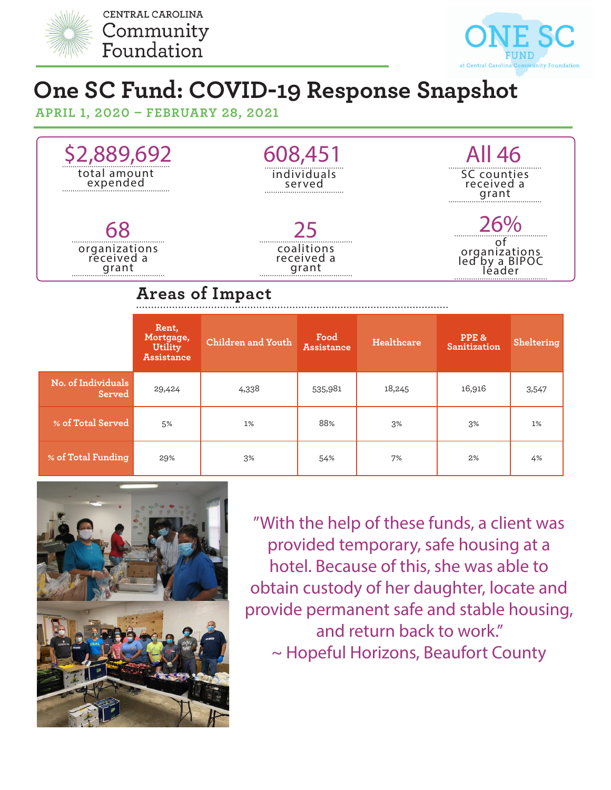



## **One SC Fund: COVID-19 Response Snapshot**

**APRIL 1, 2020 – FEBRUARY 28, 2021**



## **Areas of Impact**

|                              | Rent,<br>Mortgage,<br>Utility<br><b>Assistance</b> | Children and Youth | Food<br><b>Assistance</b> | Healthcare | PPE &<br>Sanitization | Sheltering |
|------------------------------|----------------------------------------------------|--------------------|---------------------------|------------|-----------------------|------------|
| No. of Individuals<br>Served | 29,424                                             | 4,338              | 535,981                   | 18,245     | 16,916                | 3,547      |
| % of Total Served            | 5%                                                 | 1%                 | 88%                       | 3%         | 3%                    | 1%         |
| % of Total Funding           | 29%                                                | 3%                 | 54%                       | 7%         | 2%                    | 4%         |



"With the help of these funds, a client was provided temporary, safe housing at a hotel. Because of this, she was able to obtain custody of her daughter, locate and provide permanent safe and stable housing, and return back to work." ~ Hopeful Horizons, Beaufort County